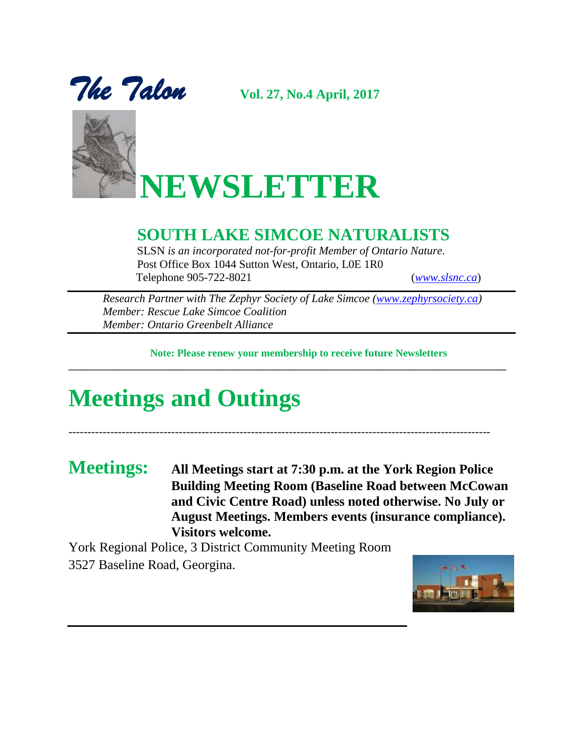



## **SOUTH LAKE SIMCOE NATURALISTS**

SLSN *is an incorporated not-for-profit Member of Ontario Nature.* Post Office Box 1044 Sutton West, Ontario, L0E 1R0 Telephone 905-722-8021 (*[www.slsnc.ca](http://www.slsnc.ca/)*)

*Research Partner with The Zephyr Society of Lake Simcoe [\(www.zephyrsociety.ca\)](http://www.zephyrsociety.ca/) Member: Rescue Lake Simcoe Coalition Member: Ontario Greenbelt Alliance*

 **Note: Please renew your membership to receive future Newsletters** 

\_\_\_\_\_\_\_\_\_\_\_\_\_\_\_\_\_\_\_\_\_\_\_\_\_\_\_\_\_\_\_\_\_\_\_\_\_\_\_\_\_\_\_\_\_\_\_\_\_\_\_\_\_\_\_\_\_\_\_\_\_\_\_\_\_\_\_\_\_\_\_\_\_\_\_\_\_\_\_\_\_\_\_\_

*-*--------------------------------------------------------------------------------------------------------------

## **Meetings and Outings**

**Meetings: All Meetings start at 7:30 p.m. at the York Region Police Building Meeting Room (Baseline Road between McCowan and Civic Centre Road) unless noted otherwise. No July or August Meetings. Members events (insurance compliance). Visitors welcome.**

York Regional Police, 3 District Community Meeting Room 3527 Baseline Road, Georgina.

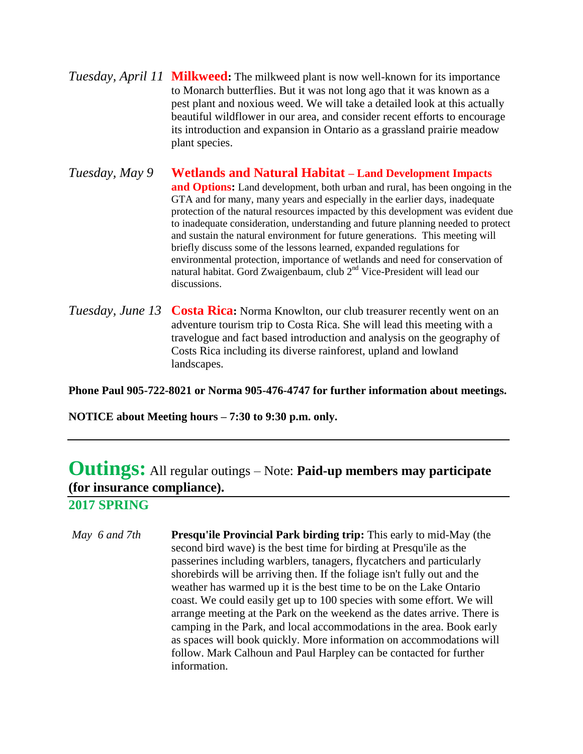- *Tuesday, April 11* **Milkweed:** The milkweed plant is now well-known for its importance to Monarch butterflies. But it was not long ago that it was known as a pest plant and noxious weed. We will take a detailed look at this actually beautiful wildflower in our area, and consider recent efforts to encourage its introduction and expansion in Ontario as a grassland prairie meadow plant species.
- *Tuesday, May 9* **Wetlands and Natural Habitat – Land Development Impacts and Options:** Land development, both urban and rural, has been ongoing in the GTA and for many, many years and especially in the earlier days, inadequate protection of the natural resources impacted by this development was evident due to inadequate consideration, understanding and future planning needed to protect and sustain the natural environment for future generations. This meeting will briefly discuss some of the lessons learned, expanded regulations for environmental protection, importance of wetlands and need for conservation of natural habitat. Gord Zwaigenbaum, club 2<sup>nd</sup> Vice-President will lead our discussions.
- *Tuesday, June 13* **Costa Rica**: Norma Knowlton, our club treasurer recently went on an adventure tourism trip to Costa Rica. She will lead this meeting with a travelogue and fact based introduction and analysis on the geography of Costs Rica including its diverse rainforest, upland and lowland landscapes.

**Phone Paul 905-722-8021 or Norma 905-476-4747 for further information about meetings.** 

**NOTICE about Meeting hours – 7:30 to 9:30 p.m. only.**

## **Outings:** All regular outings – Note: **Paid-up members may participate (for insurance compliance).**

### **2017 SPRING**

*May 6 and 7th* **Presqu'ile Provincial Park birding trip:** This early to mid-May (the second bird wave) is the best time for birding at Presqu'ile as the passerines including warblers, tanagers, flycatchers and particularly shorebirds will be arriving then. If the foliage isn't fully out and the weather has warmed up it is the best time to be on the Lake Ontario coast. We could easily get up to 100 species with some effort. We will arrange meeting at the Park on the weekend as the dates arrive. There is camping in the Park, and local accommodations in the area. Book early as spaces will book quickly. More information on accommodations will follow. Mark Calhoun and Paul Harpley can be contacted for further information.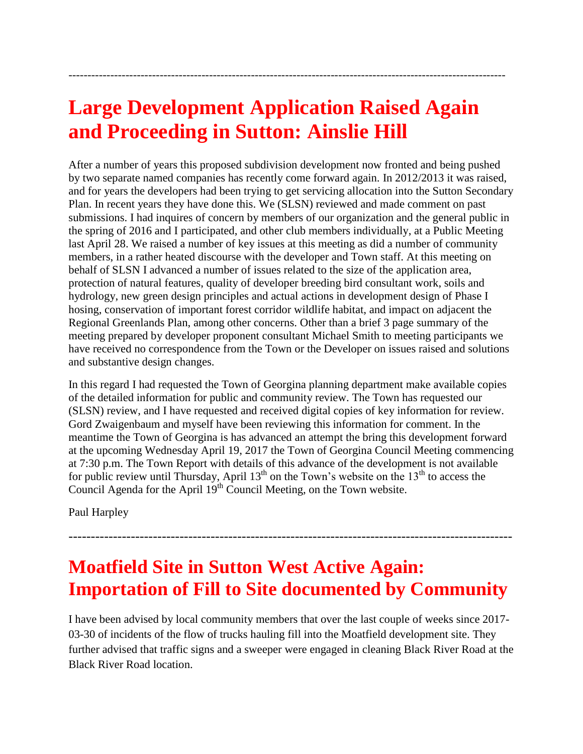## **Large Development Application Raised Again and Proceeding in Sutton: Ainslie Hill**

-------------------------------------------------------------------------------------------------------------------

After a number of years this proposed subdivision development now fronted and being pushed by two separate named companies has recently come forward again. In 2012/2013 it was raised, and for years the developers had been trying to get servicing allocation into the Sutton Secondary Plan. In recent years they have done this. We (SLSN) reviewed and made comment on past submissions. I had inquires of concern by members of our organization and the general public in the spring of 2016 and I participated, and other club members individually, at a Public Meeting last April 28. We raised a number of key issues at this meeting as did a number of community members, in a rather heated discourse with the developer and Town staff. At this meeting on behalf of SLSN I advanced a number of issues related to the size of the application area, protection of natural features, quality of developer breeding bird consultant work, soils and hydrology, new green design principles and actual actions in development design of Phase I hosing, conservation of important forest corridor wildlife habitat, and impact on adjacent the Regional Greenlands Plan, among other concerns. Other than a brief 3 page summary of the meeting prepared by developer proponent consultant Michael Smith to meeting participants we have received no correspondence from the Town or the Developer on issues raised and solutions and substantive design changes.

In this regard I had requested the Town of Georgina planning department make available copies of the detailed information for public and community review. The Town has requested our (SLSN) review, and I have requested and received digital copies of key information for review. Gord Zwaigenbaum and myself have been reviewing this information for comment. In the meantime the Town of Georgina is has advanced an attempt the bring this development forward at the upcoming Wednesday April 19, 2017 the Town of Georgina Council Meeting commencing at 7:30 p.m. The Town Report with details of this advance of the development is not available for public review until Thursday, April  $13<sup>th</sup>$  on the Town's website on the  $13<sup>th</sup>$  to access the Council Agenda for the April 19<sup>th</sup> Council Meeting, on the Town website.

Paul Harpley

## **Moatfield Site in Sutton West Active Again: Importation of Fill to Site documented by Community**

----------------------------------------------------------------------------------------------------

I have been advised by local community members that over the last couple of weeks since 2017- 03-30 of incidents of the flow of trucks hauling fill into the Moatfield development site. They further advised that traffic signs and a sweeper were engaged in cleaning Black River Road at the Black River Road location.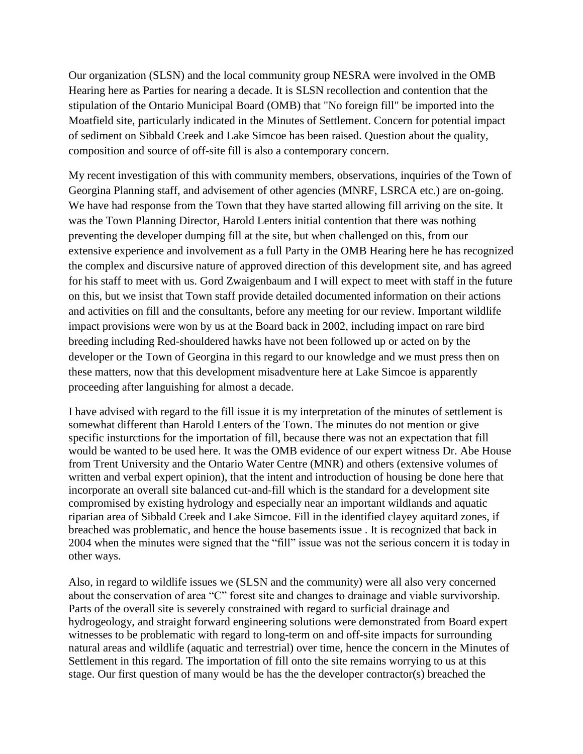Our organization (SLSN) and the local community group NESRA were involved in the OMB Hearing here as Parties for nearing a decade. It is SLSN recollection and contention that the stipulation of the Ontario Municipal Board (OMB) that "No foreign fill" be imported into the Moatfield site, particularly indicated in the Minutes of Settlement. Concern for potential impact of sediment on Sibbald Creek and Lake Simcoe has been raised. Question about the quality, composition and source of off-site fill is also a contemporary concern.

My recent investigation of this with community members, observations, inquiries of the Town of Georgina Planning staff, and advisement of other agencies (MNRF, LSRCA etc.) are on-going. We have had response from the Town that they have started allowing fill arriving on the site. It was the Town Planning Director, Harold Lenters initial contention that there was nothing preventing the developer dumping fill at the site, but when challenged on this, from our extensive experience and involvement as a full Party in the OMB Hearing here he has recognized the complex and discursive nature of approved direction of this development site, and has agreed for his staff to meet with us. Gord Zwaigenbaum and I will expect to meet with staff in the future on this, but we insist that Town staff provide detailed documented information on their actions and activities on fill and the consultants, before any meeting for our review. Important wildlife impact provisions were won by us at the Board back in 2002, including impact on rare bird breeding including Red-shouldered hawks have not been followed up or acted on by the developer or the Town of Georgina in this regard to our knowledge and we must press then on these matters, now that this development misadventure here at Lake Simcoe is apparently proceeding after languishing for almost a decade.

I have advised with regard to the fill issue it is my interpretation of the minutes of settlement is somewhat different than Harold Lenters of the Town. The minutes do not mention or give specific insturctions for the importation of fill, because there was not an expectation that fill would be wanted to be used here. It was the OMB evidence of our expert witness Dr. Abe House from Trent University and the Ontario Water Centre (MNR) and others (extensive volumes of written and verbal expert opinion), that the intent and introduction of housing be done here that incorporate an overall site balanced cut-and-fill which is the standard for a development site compromised by existing hydrology and especially near an important wildlands and aquatic riparian area of Sibbald Creek and Lake Simcoe. Fill in the identified clayey aquitard zones, if breached was problematic, and hence the house basements issue . It is recognized that back in 2004 when the minutes were signed that the "fill" issue was not the serious concern it is today in other ways.

Also, in regard to wildlife issues we (SLSN and the community) were all also very concerned about the conservation of area "C" forest site and changes to drainage and viable survivorship. Parts of the overall site is severely constrained with regard to surficial drainage and hydrogeology, and straight forward engineering solutions were demonstrated from Board expert witnesses to be problematic with regard to long-term on and off-site impacts for surrounding natural areas and wildlife (aquatic and terrestrial) over time, hence the concern in the Minutes of Settlement in this regard. The importation of fill onto the site remains worrying to us at this stage. Our first question of many would be has the the developer contractor(s) breached the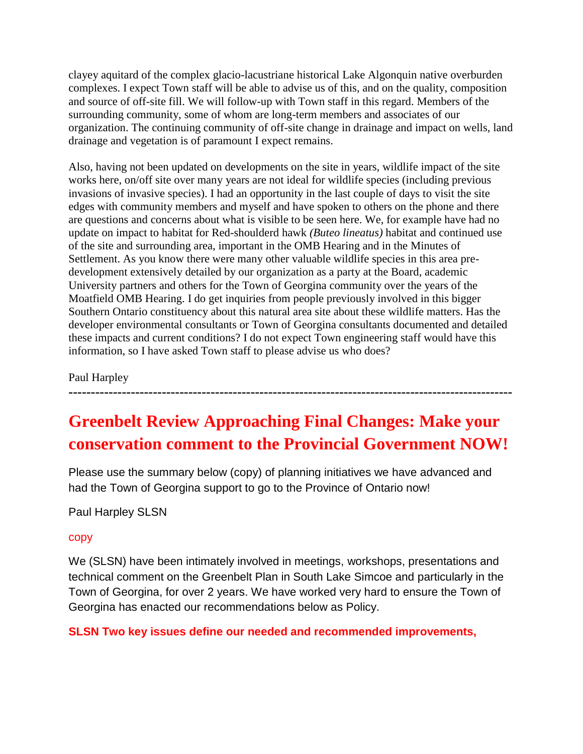clayey aquitard of the complex glacio-lacustriane historical Lake Algonquin native overburden complexes. I expect Town staff will be able to advise us of this, and on the quality, composition and source of off-site fill. We will follow-up with Town staff in this regard. Members of the surrounding community, some of whom are long-term members and associates of our organization. The continuing community of off-site change in drainage and impact on wells, land drainage and vegetation is of paramount I expect remains.

Also, having not been updated on developments on the site in years, wildlife impact of the site works here, on/off site over many years are not ideal for wildlife species (including previous invasions of invasive species). I had an opportunity in the last couple of days to visit the site edges with community members and myself and have spoken to others on the phone and there are questions and concerns about what is visible to be seen here. We, for example have had no update on impact to habitat for Red-shoulderd hawk *(Buteo lineatus)* habitat and continued use of the site and surrounding area, important in the OMB Hearing and in the Minutes of Settlement. As you know there were many other valuable wildlife species in this area predevelopment extensively detailed by our organization as a party at the Board, academic University partners and others for the Town of Georgina community over the years of the Moatfield OMB Hearing. I do get inquiries from people previously involved in this bigger Southern Ontario constituency about this natural area site about these wildlife matters. Has the developer environmental consultants or Town of Georgina consultants documented and detailed these impacts and current conditions? I do not expect Town engineering staff would have this information, so I have asked Town staff to please advise us who does?

Paul Harpley

**----------------------------------------------------------------------------------------------------**

## **Greenbelt Review Approaching Final Changes: Make your conservation comment to the Provincial Government NOW!**

Please use the summary below (copy) of planning initiatives we have advanced and had the Town of Georgina support to go to the Province of Ontario now!

Paul Harpley SLSN

### copy

We (SLSN) have been intimately involved in meetings, workshops, presentations and technical comment on the Greenbelt Plan in South Lake Simcoe and particularly in the Town of Georgina, for over 2 years. We have worked very hard to ensure the Town of Georgina has enacted our recommendations below as Policy.

**SLSN Two key issues define our needed and recommended improvements,**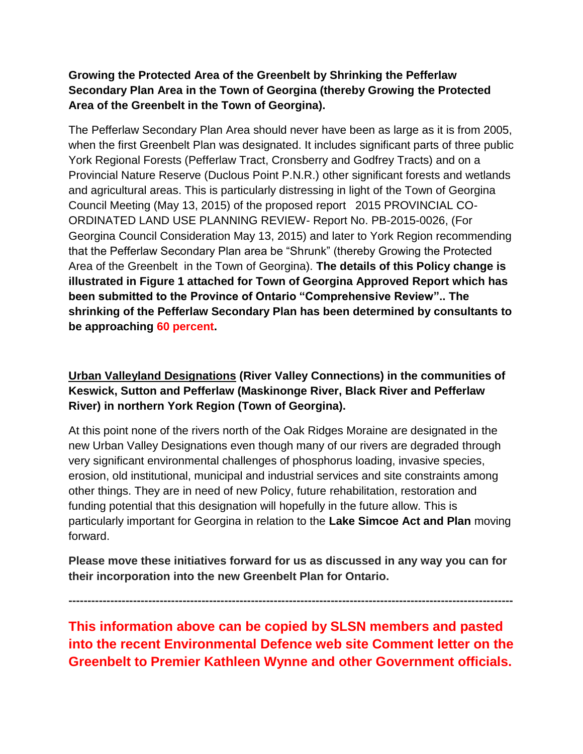### **Growing the Protected Area of the Greenbelt by Shrinking the Pefferlaw Secondary Plan Area in the Town of Georgina (thereby Growing the Protected Area of the Greenbelt in the Town of Georgina).**

The Pefferlaw Secondary Plan Area should never have been as large as it is from 2005, when the first Greenbelt Plan was designated. It includes significant parts of three public York Regional Forests (Pefferlaw Tract, Cronsberry and Godfrey Tracts) and on a Provincial Nature Reserve (Duclous Point P.N.R.) other significant forests and wetlands and agricultural areas. This is particularly distressing in light of the Town of Georgina Council Meeting (May 13, 2015) of the proposed report 2015 PROVINCIAL CO-ORDINATED LAND USE PLANNING REVIEW- Report No. PB-2015-0026, (For Georgina Council Consideration May 13, 2015) and later to York Region recommending that the Pefferlaw Secondary Plan area be "Shrunk" (thereby Growing the Protected Area of the Greenbelt in the Town of Georgina). **The details of this Policy change is illustrated in Figure 1 attached for Town of Georgina Approved Report which has been submitted to the Province of Ontario "Comprehensive Review".. The shrinking of the Pefferlaw Secondary Plan has been determined by consultants to be approaching 60 percent.**

### **Urban Valleyland Designations (River Valley Connections) in the communities of Keswick, Sutton and Pefferlaw (Maskinonge River, Black River and Pefferlaw River) in northern York Region (Town of Georgina).**

At this point none of the rivers north of the Oak Ridges Moraine are designated in the new Urban Valley Designations even though many of our rivers are degraded through very significant environmental challenges of phosphorus loading, invasive species, erosion, old institutional, municipal and industrial services and site constraints among other things. They are in need of new Policy, future rehabilitation, restoration and funding potential that this designation will hopefully in the future allow. This is particularly important for Georgina in relation to the **Lake Simcoe Act and Plan** moving forward.

**Please move these initiatives forward for us as discussed in any way you can for their incorporation into the new Greenbelt Plan for Ontario.**

**---------------------------------------------------------------------------------------------------------------------**

**This information above can be copied by SLSN members and pasted into the recent Environmental Defence web site Comment letter on the Greenbelt to Premier Kathleen Wynne and other Government officials.**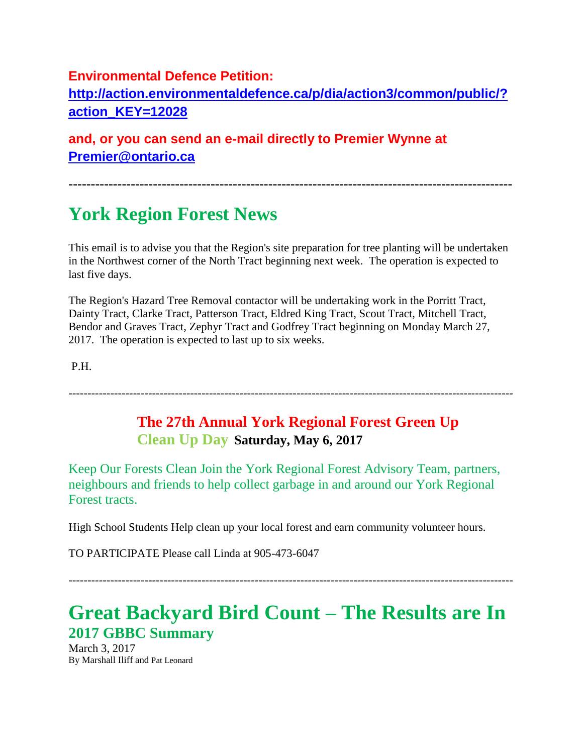## **Environmental Defence Petition: [http://action.environmentaldefence.ca/p/dia/action3/common/public/?](http://action.environmentaldefence.ca/p/dia/action3/common/public/?action_KEY=12028) [action\\_KEY=12028](http://action.environmentaldefence.ca/p/dia/action3/common/public/?action_KEY=12028)**

**and, or you can send an e-mail directly to Premier Wynne at [Premier@ontario.ca](mailto:Premier@ontario.ca)**

**----------------------------------------------------------------------------------------------------**

## **York Region Forest News**

This email is to advise you that the Region's site preparation for tree planting will be undertaken in the Northwest corner of the North Tract beginning next week. The operation is expected to last five days.

The Region's Hazard Tree Removal contactor will be undertaking work in the Porritt Tract, Dainty Tract, Clarke Tract, Patterson Tract, Eldred King Tract, Scout Tract, Mitchell Tract, Bendor and Graves Tract, Zephyr Tract and Godfrey Tract beginning on Monday March 27, 2017. The operation is expected to last up to six weeks.

P.H.

---------------------------------------------------------------------------------------------------------------------

## **The 27th Annual York Regional Forest Green Up Clean Up Day Saturday, May 6, 2017**

Keep Our Forests Clean Join the York Regional Forest Advisory Team, partners, neighbours and friends to help collect garbage in and around our York Regional Forest tracts.

High School Students Help clean up your local forest and earn community volunteer hours.

TO PARTICIPATE Please call Linda at 905-473-6047

---------------------------------------------------------------------------------------------------------------------

## **Great Backyard Bird Count – The Results are In 2017 GBBC Summary**

March 3, 2017 By Marshall Iliff and Pat Leonard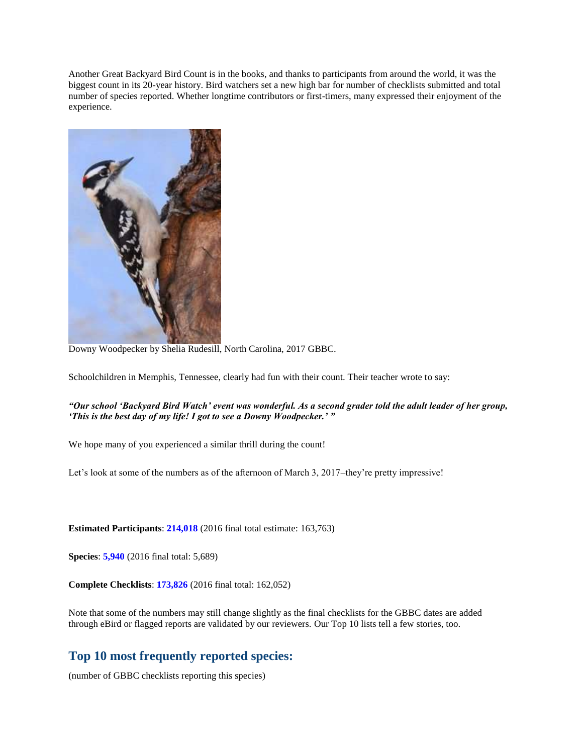Another Great Backyard Bird Count is in the books, and thanks to participants from around the world, it was the biggest count in its 20-year history. Bird watchers set a new high bar for number of checklists submitted and total number of species reported. Whether longtime contributors or first-timers, many expressed their enjoyment of the experience.



Downy Woodpecker by Shelia Rudesill, North Carolina, 2017 GBBC.

Schoolchildren in Memphis, Tennessee, clearly had fun with their count. Their teacher wrote to say:

#### *"Our school 'Backyard Bird Watch' event was wonderful. As a second grader told the adult leader of her group, 'This is the best day of my life! I got to see a Downy Woodpecker.' "*

We hope many of you experienced a similar thrill during the count!

Let's look at some of the numbers as of the afternoon of March 3, 2017–they're pretty impressive!

**Estimated Participants**: **214,018** (2016 final total estimate: 163,763)

**Species**: **5,940** (2016 final total: 5,689)

**Complete Checklists**: **173,826** (2016 final total: 162,052)

Note that some of the numbers may still change slightly as the final checklists for the GBBC dates are added through eBird or flagged reports are validated by our reviewers. Our Top 10 lists tell a few stories, too.

### **Top 10 most frequently reported species:**

(number of GBBC checklists reporting this species)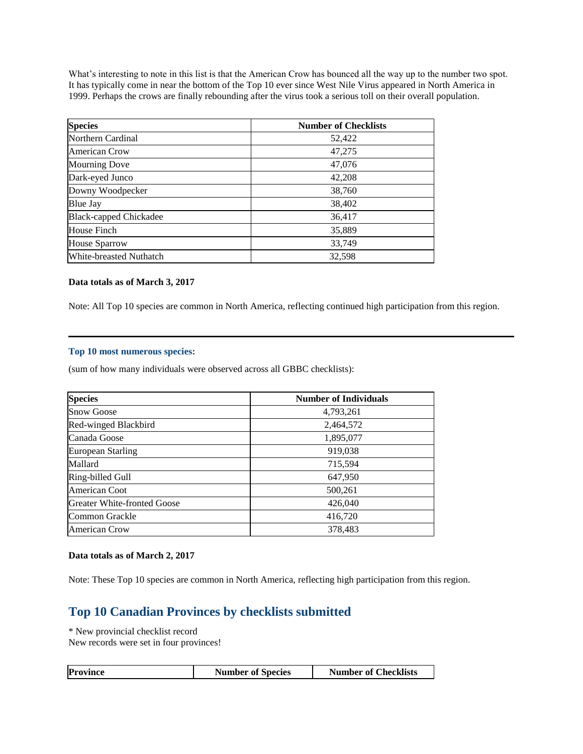What's interesting to note in this list is that the American Crow has bounced all the way up to the number two spot. It has typically come in near the bottom of the Top 10 ever since West Nile Virus appeared in North America in 1999. Perhaps the crows are finally rebounding after the virus took a serious toll on their overall population.

| <b>Species</b>          | <b>Number of Checklists</b> |
|-------------------------|-----------------------------|
| Northern Cardinal       | 52,422                      |
| American Crow           | 47,275                      |
| <b>Mourning Dove</b>    | 47,076                      |
| Dark-eyed Junco         | 42,208                      |
| Downy Woodpecker        | 38,760                      |
| <b>Blue Jay</b>         | 38,402                      |
| Black-capped Chickadee  | 36,417                      |
| <b>House Finch</b>      | 35,889                      |
| <b>House Sparrow</b>    | 33,749                      |
| White-breasted Nuthatch | 32,598                      |

#### **Data totals as of March 3, 2017**

Note: All Top 10 species are common in North America, reflecting continued high participation from this region.

#### **Top 10 most numerous species:**

(sum of how many individuals were observed across all GBBC checklists):

| <b>Species</b>              | <b>Number of Individuals</b> |
|-----------------------------|------------------------------|
| <b>Snow Goose</b>           | 4,793,261                    |
| Red-winged Blackbird        | 2,464,572                    |
| Canada Goose                | 1,895,077                    |
| <b>European Starling</b>    | 919,038                      |
| Mallard                     | 715,594                      |
| Ring-billed Gull            | 647,950                      |
| American Coot               | 500,261                      |
| Greater White-fronted Goose | 426,040                      |
| Common Grackle              | 416,720                      |
| American Crow               | 378,483                      |

#### **Data totals as of March 2, 2017**

Note: These Top 10 species are common in North America, reflecting high participation from this region.

### **Top 10 Canadian Provinces by checklists submitted**

\* New provincial checklist record New records were set in four provinces!

|--|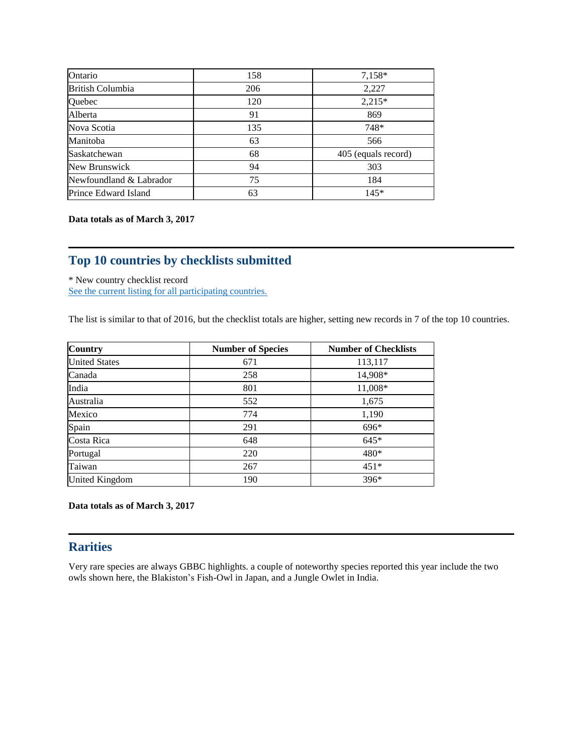| Ontario                 | 158 | $7,158*$            |
|-------------------------|-----|---------------------|
| <b>British Columbia</b> | 206 | 2,227               |
| Quebec                  | 120 | $2,215*$            |
| Alberta                 | 91  | 869                 |
| Nova Scotia             | 135 | 748*                |
| Manitoba                | 63  | 566                 |
| Saskatchewan            | 68  | 405 (equals record) |
| New Brunswick           | 94  | 303                 |
| Newfoundland & Labrador | 75  | 184                 |
| Prince Edward Island    | 63  | $145*$              |

#### **Data totals as of March 3, 2017**

### **Top 10 countries by checklists submitted**

\* New country checklist recor[d](http://ebird.org/ebird/gbbc/region/world/regions?yr=cur&m=&hsStats_sortBy=num_checklists&hsStats_o=desc&__hstc=64079792.6ab25cefdc0186fbcfd3e957ef8b7278.1490034369914.1490034369915.1490034369915.1&__hssc=64079792.1.1490034369916&__hsfp=2574890676) [See the current listing for all participating countries.](http://ebird.org/ebird/gbbc/region/world/regions?yr=cur&m=&hsStats_sortBy=num_checklists&hsStats_o=desc&__hstc=64079792.6ab25cefdc0186fbcfd3e957ef8b7278.1490034369914.1490034369915.1490034369915.1&__hssc=64079792.1.1490034369916&__hsfp=2574890676)

The list is similar to that of 2016, but the checklist totals are higher, setting new records in 7 of the top 10 countries.

| <b>Country</b>        | <b>Number of Species</b> | <b>Number of Checklists</b> |
|-----------------------|--------------------------|-----------------------------|
| <b>United States</b>  | 671                      | 113,117                     |
| Canada                | 258                      | 14,908*                     |
| India                 | 801                      | 11,008*                     |
| Australia             | 552                      | 1,675                       |
| Mexico                | 774                      | 1,190                       |
| Spain                 | 291                      | 696*                        |
| Costa Rica            | 648                      | $645*$                      |
| Portugal              | 220                      | 480*                        |
| Taiwan                | 267                      | $451*$                      |
| <b>United Kingdom</b> | 190                      | $396*$                      |

**Data totals as of March 3, 2017**

### **Rarities**

Very rare species are always GBBC highlights. a couple of noteworthy species reported this year include the two owls shown here, the Blakiston's Fish-Owl in Japan, and a Jungle Owlet in India.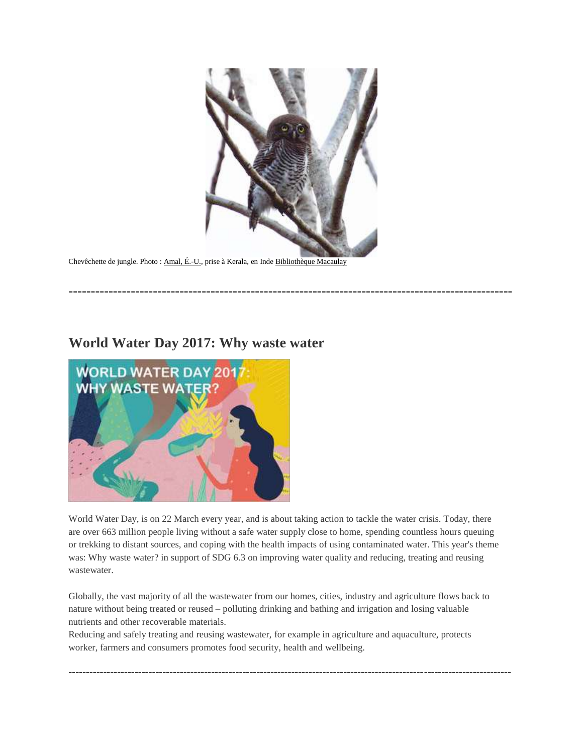

----------------------------------------------------------------------------------------------------

### **World Water Day 2017: Why waste water**



World Water Day, is on 22 March every year, and is about taking action to tackle the water crisis. Today, there are over 663 million people living without a safe water supply close to home, spending countless hours queuing or trekking to distant sources, and coping with the health impacts of using contaminated water. This year's theme was: Why waste water? in support of SDG 6.3 on improving water quality and reducing, treating and reusing wastewater.

Globally, the vast majority of all the wastewater from our homes, cities, industry and agriculture flows back to nature without being treated or reused – polluting drinking and bathing and irrigation and losing valuable nutrients and other recoverable materials.

-------------------------------------------------------------------------------------------------------------------------------

Reducing and safely treating and reusing wastewater, for example in agriculture and aquaculture, protects worker, farmers and consumers promotes food security, health and wellbeing.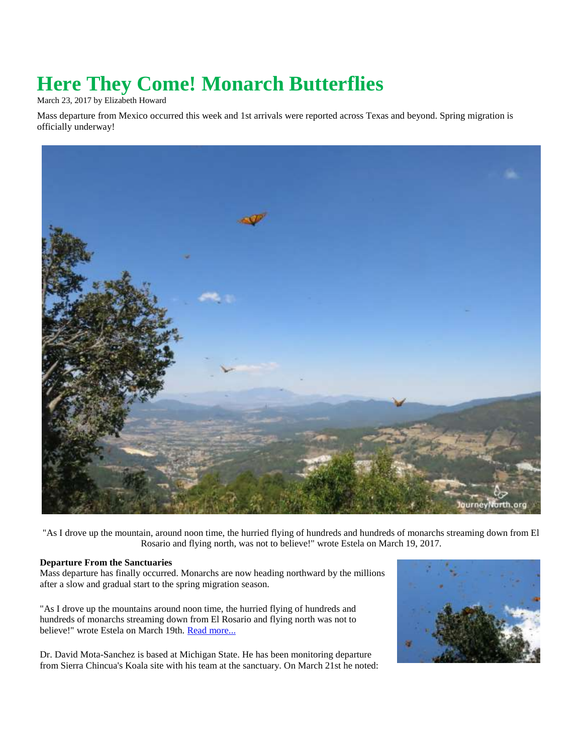## **Here They Come! Monarch Butterflies**

March 23, 2017 by [Elizabeth Howard](http://bit.ly/1sVJjGn)

Mass departure from Mexico occurred this week and 1st arrivals were reported across Texas and beyond. Spring migration is officially underway!



"As I drove up the mountain, around noon time, the hurried flying of hundreds and hundreds of monarchs streaming down from El Rosario and flying north, was not to believe!" wrote Estela on March 19, 2017.

#### **Departure From the Sanctuaries**

Mass departure has finally occurred. Monarchs are now heading northward by the millions after a slow and gradual start to the spring migration season.

"As I drove up the mountains around noon time, the hurried flying of hundreds and hundreds of monarchs streaming down from El Rosario and flying north was not to believe!" wrote Estela on March 19th. [Read more...](http://www.learner.org/jnorth/monarch/spring2017/08/romero_rosario_032317.html)

Dr. David Mota-Sanchez is based at Michigan State. He has been monitoring departure from Sierra Chincua's Koala site with his team at the sanctuary. On March 21st he noted:

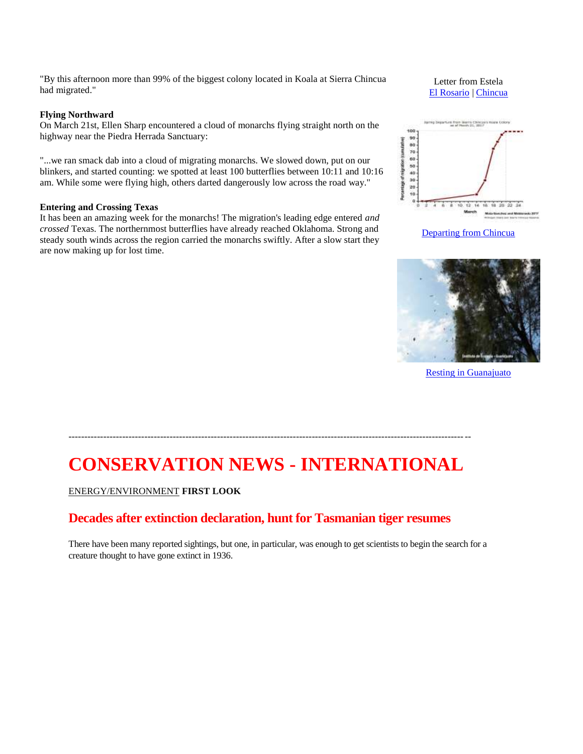"By this afternoon more than 99% of the biggest colony located in Koala at Sierra Chincua had migrated."

#### **Flying Northward**

On March 21st, Ellen Sharp encountered a cloud of monarchs flying straight north on the highway near the Piedra Herrada Sanctuary:

"...we ran smack dab into a cloud of migrating monarchs. We slowed down, put on our blinkers, and started counting: we spotted at least 100 butterflies between 10:11 and 10:16 am. While some were flying high, others darted dangerously low across the road way."

#### **Entering and Crossing Texas**

It has been an amazing week for the monarchs! The migration's leading edge entered *and crossed* Texas. The northernmost butterflies have already reached Oklahoma. Strong and steady [south winds](http://www.learner.org/jnorth/images/graphics/weather/2017/wind031617.gif) across the region carried the monarchs swiftly. After a slow start they are now making up for lost time.

#### Letter from Estela [El Rosario](http://www.learner.org/jnorth/monarch/spring2017/08/romero_rosario_032317.html) | [Chincua](http://www.learner.org/jnorth/monarch/spring2017/08/romero_chincua_032317.html)



[Departing from Chincua](http://www.learner.org/jnorth/monarch/spring2017/08/mota_sanchez_032317.html)



Resting in Guanajuato

## ------------------------------------------------------------------------------------------------------------------------------- **CONSERVATION NEWS - INTERNATIONAL**

[ENERGY/ENVIRONMENT](http://www.csmonitor.com/Environment) **[FIRST LOOK](http://www.csmonitor.com/csmlists/special/first-look)**

#### **Decades after extinction declaration, hunt for Tasmanian tiger resumes**

There have been many reported sightings, but one, in particular, was enough to get scientists to begin the search for a creature thought to have gone extinct in 1936.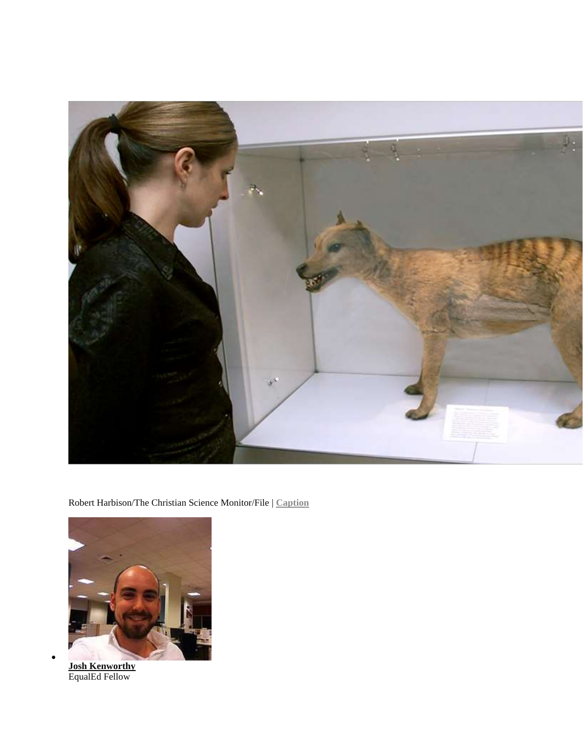

Robert Harbison/The Christian Science Monitor/File | **[Caption](http://www.csmonitor.com/Environment/2017/0331/Decades-after-extinction-declaration-hunt-for-Tasmanian-tiger-resumes)**



**[Josh Kenworthy](http://www.csmonitor.com/About/People/Josh-Kenworthy)** EqualEd Fellow

 $\bullet$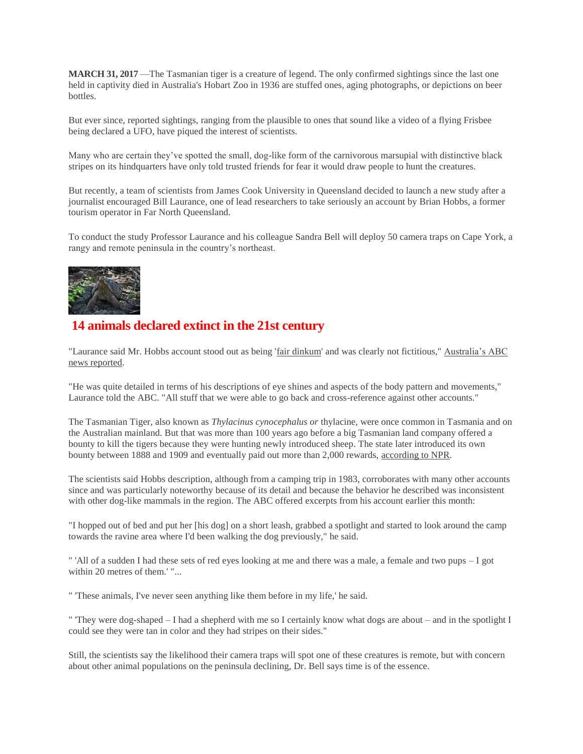**MARCH 31, 2017** —The Tasmanian tiger is a creature of legend. The only confirmed sightings since the last one held in captivity died in Australia's Hobart Zoo in 1936 are stuffed ones, aging photographs, or depictions on beer bottles.

But ever since, reported sightings, ranging from the plausible to ones that sound like a video of a flying Frisbee being declared a UFO, have piqued the interest of scientists.

Many who are certain they've spotted the small, dog-like form of the carnivorous marsupial with distinctive black stripes on its hindquarters have only told trusted friends for fear it would draw people to hunt the creatures.

But recently, a team of scientists from James Cook University in Queensland decided to launch a new study after a journalist encouraged Bill Laurance, one of lead researchers to take seriously an account by Brian Hobbs, a former tourism operator in Far North Queensland.

To conduct the study Professor Laurance and his colleague Sandra Bell will deploy 50 camera traps on Cape York, a rangy and remote peninsula in the country's northeast.



### **[14 animals declared extinct in the 21st century](http://www.csmonitor.com/Science/2015/1022/14-animals-declared-extinct-in-the-21st-century/Pinta-Island-Tortoise-Chelonoidis-abingdoni-2012)**

"Laurance said Mr. Hobbs account stood out as being ['fair dinkum'](http://www.tourism.australia.com/documents/AussieDictionary.pdf) and was clearly not fictitious," [Australia's ABC](http://www.abc.net.au/news/2017-03-24/tasmanian-tiger-sightings-spark-scientific-study/8383884)  [news reported.](http://www.abc.net.au/news/2017-03-24/tasmanian-tiger-sightings-spark-scientific-study/8383884)

"He was quite detailed in terms of his descriptions of eye shines and aspects of the body pattern and movements," Laurance told the ABC. "All stuff that we were able to go back and cross-reference against other accounts."

The Tasmanian Tiger, also known as *Thylacinus cynocephalus or* thylacine, were once common in Tasmania and on the Australian mainland. But that was more than 100 years ago before a big Tasmanian land company offered a bounty to kill the tigers because they were hunting newly introduced sheep. The state later introduced its own bounty between 1888 and 1909 and eventually paid out more than 2,000 rewards, [according to NPR.](http://www.npr.org/sections/thetwo-way/2017/03/30/522091683/back-from-the-dead-reported-sightings-fuel-hope-for-return-of-tasmanian-tigers)

The scientists said Hobbs description, although from a camping trip in 1983, corroborates with many other accounts since and was particularly noteworthy because of its detail and because the behavior he described was inconsistent with other dog-like mammals in the region. The ABC offered [excerpts from his account](http://www.abc.net.au/news/2017-03-17/could-thylacines-be-living-in-the-wilds-of-queenslands-cape-york/8362904) earlier this month:

"I hopped out of bed and put her [his dog] on a short leash, grabbed a spotlight and started to look around the camp towards the ravine area where I'd been walking the dog previously," he said.

" 'All of a sudden I had these sets of red eyes looking at me and there was a male, a female and two pups – I got within 20 metres of them.' "...

" 'These animals, I've never seen anything like them before in my life,' he said.

" 'They were dog-shaped – I had a shepherd with me so I certainly know what dogs are about – and in the spotlight I could see they were tan in color and they had stripes on their sides."

Still, the scientists say the likelihood their camera traps will spot one of these creatures is remote, but with concern about other animal populations on the peninsula declining, Dr. Bell says time is of the essence.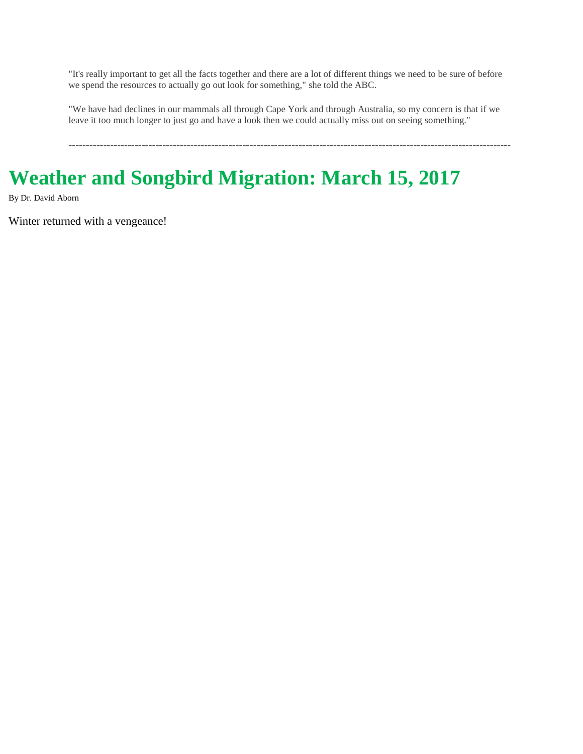"It's really important to get all the facts together and there are a lot of different things we need to be sure of before we spend the resources to actually go out look for something," she told the ABC.

"We have had declines in our mammals all through Cape York and through Australia, so my concern is that if we leave it too much longer to just go and have a look then we could actually miss out on seeing something."

-------------------------------------------------------------------------------------------------------------------------------

## **Weather and Songbird Migration: March 15, 2017**

[By Dr. David Aborn](http://www.learner.org/jnorth/jn_aborn.html)

Winter returned with a vengeance!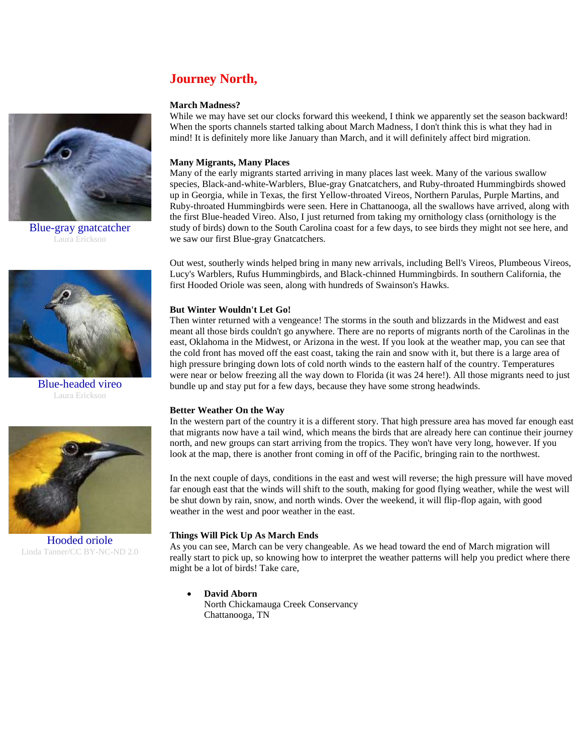

[Blue-gray gnatcatcher](http://www.learner.org/jnorth/weather/aborn/spring2017/caption_031517_1.html) Laura Erickson



[Blue-headed vireo](http://www.learner.org/jnorth/weather/aborn/spring2017/caption_031517_3.html) Laura Erickson



[Hooded oriole](http://www.learner.org/jnorth/weather/aborn/spring2017/caption_031517_2.html) Linda Tanner/CC BY-NC-ND 2.0

### **Journey North,**

#### **March Madness?**

While we may have set our clocks forward this weekend, I think we apparently set the season backward! When the sports channels started talking about March Madness, I don't think this is what they had in mind! It is definitely more like January than March, and it will definitely affect bird migration.

#### **Many Migrants, Many Places**

Many of the early migrants started arriving in many places last week. Many of the various swallow species, Black-and-white-Warblers, Blue-gray Gnatcatchers, and Ruby-throated Hummingbirds showed up in Georgia, while in Texas, the first Yellow-throated Vireos, Northern Parulas, Purple Martins, and Ruby-throated Hummingbirds were seen. Here in Chattanooga, all the swallows have arrived, along with the first Blue-headed Vireo. Also, I just returned from taking my ornithology class (ornithology is the study of birds) down to the South Carolina coast for a few days, to see birds they might not see here, and we saw our first Blue-gray Gnatcatchers.

Out west, southerly winds helped bring in many new arrivals, including Bell's Vireos, Plumbeous Vireos, Lucy's Warblers, Rufus Hummingbirds, and Black-chinned Hummingbirds. In southern California, the first Hooded Oriole was seen, along with hundreds of Swainson's Hawks.

#### **But Winter Wouldn't Let Go!**

Then winter returned with a vengeance! The storms in the south and blizzards in the Midwest and east meant all those birds couldn't go anywhere. There are no reports of migrants north of the Carolinas in the east, Oklahoma in the Midwest, or Arizona in the west. If you look at the weather map, you can see that the cold front has moved off the east coast, taking the rain and snow with it, but there is a large area of high pressure bringing down lots of cold north winds to the eastern half of the country. Temperatures were near or below freezing all the way down to Florida (it was 24 here!). All those migrants need to just bundle up and stay put for a few days, because they have some strong headwinds.

#### **Better Weather On the Way**

In the western part of the country it is a different story. That high pressure area has moved far enough east that migrants now have a tail wind, which means the birds that are already here can continue their journey north, and new groups can start arriving from the tropics. They won't have very long, however. If you look at the map, there is another front coming in off of the Pacific, bringing rain to the northwest.

In the next couple of days, conditions in the east and west will reverse; the high pressure will have moved far enough east that the winds will shift to the south, making for good flying weather, while the west will be shut down by rain, snow, and north winds. Over the weekend, it will flip-flop again, with good weather in the west and poor weather in the east.

#### **Things Will Pick Up As March Ends**

As you can see, March can be very changeable. As we head toward the end of March migration will really start to pick up, so knowing how to interpret the weather patterns will help you predict where there might be a lot of birds! Take care,

 **David Aborn** North Chickamauga Creek Conservancy Chattanooga, TN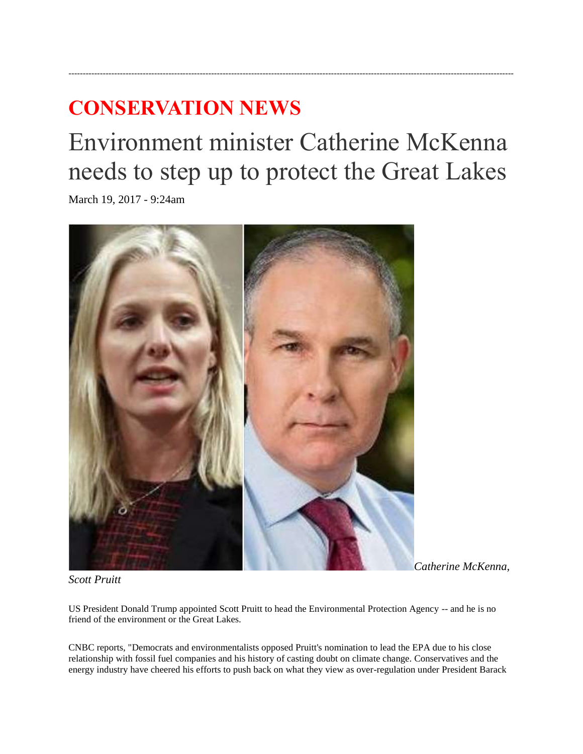## **CONSERVATION NEWS**

# Environment minister Catherine McKenna needs to step up to protect the Great Lakes

------------------------------------------------------------------------------------------------------------------------------------------------------------

March 19, 2017 - 9:24am



*Scott Pruitt*

*Catherine McKenna,* 

US President Donald Trump appointed Scott Pruitt to head the Environmental Protection Agency -- and he is no friend of the environment or the Great Lakes.

CNBC reports, "Democrats and environmentalists opposed Pruitt's nomination to lead the EPA due to his close relationship with fossil fuel companies and his history of casting doubt on climate change. Conservatives and the energy industry have cheered his efforts to push back on what they view as over-regulation under President Barack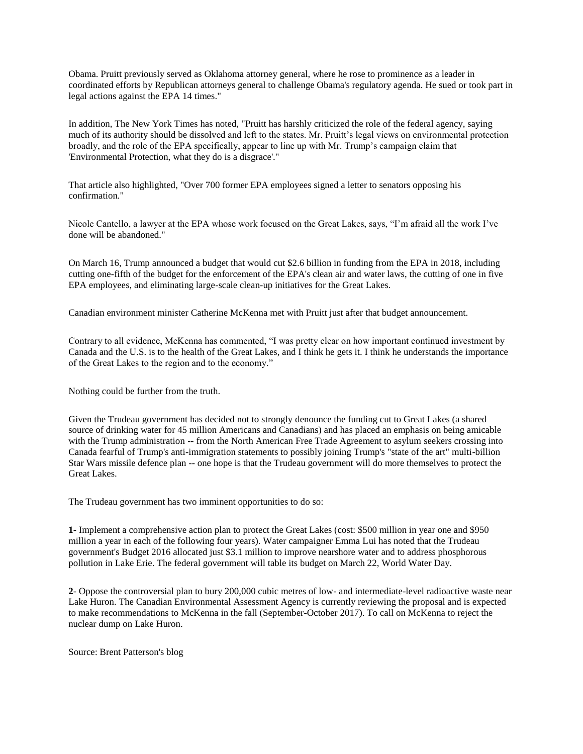Obama. Pruitt previously served as Oklahoma attorney general, where he rose to prominence as a leader in coordinated efforts by Republican attorneys general to challenge Obama's regulatory agenda. He sued or took part in legal actions against the EPA 14 times."

In addition, The New York Times has noted, "Pruitt has harshly criticized the role of the federal agency, saying much of its authority should be dissolved and left to the states. Mr. Pruitt's legal views on environmental protection broadly, and the role of the EPA specifically, appear to line up with Mr. Trump's campaign claim that 'Environmental Protection, what they do is a disgrace'."

That article also highlighted, "Over 700 former EPA employees signed a letter to senators opposing his confirmation."

Nicole Cantello, a lawyer at the EPA whose work focused on the Great Lakes, says, "I'm afraid all the work I've done will be abandoned."

On March 16, Trump announced a budget that would cut \$2.6 billion in funding from the EPA in 2018, including cutting one-fifth of the budget for the enforcement of the EPA's clean air and water laws, the cutting of one in five EPA employees, and eliminating large-scale clean-up initiatives for the Great Lakes.

Canadian environment minister Catherine McKenna met with Pruitt just after that budget announcement.

Contrary to all evidence, McKenna has commented, "I was pretty clear on how important continued investment by Canada and the U.S. is to the health of the Great Lakes, and I think he gets it. I think he understands the importance of the Great Lakes to the region and to the economy."

Nothing could be further from the truth.

Given the Trudeau government has decided not to strongly denounce the funding cut to Great Lakes (a shared source of drinking water for 45 million Americans and Canadians) and has placed an emphasis on being amicable with the Trump administration -- from the North American Free Trade Agreement to asylum seekers crossing into Canada fearful of Trump's anti-immigration statements to possibly joining Trump's "state of the art" multi-billion Star Wars missile defence plan -- one hope is that the Trudeau government will do more themselves to protect the Great Lakes.

The Trudeau government has two imminent opportunities to do so:

**1**- Implement a comprehensive action plan to protect the Great Lakes (cost: \$500 million in year one and \$950 million a year in each of the following four years). Water campaigner Emma Lui has noted that the Trudeau government's Budget 2016 allocated just \$3.1 million to improve nearshore water and to address phosphorous pollution in Lake Erie. The federal government will table its budget on March 22, World Water Day.

**2**- Oppose the controversial plan to bury 200,000 cubic metres of low- and intermediate-level radioactive waste near Lake Huron. The Canadian Environmental Assessment Agency is currently reviewing the proposal and is expected to make recommendations to McKenna in the fall (September-October 2017). To call on McKenna to reject the nuclear dump on Lake Huron.

Source: [Brent Patterson's blog](http://canadians.org/blogs/brent-patterson)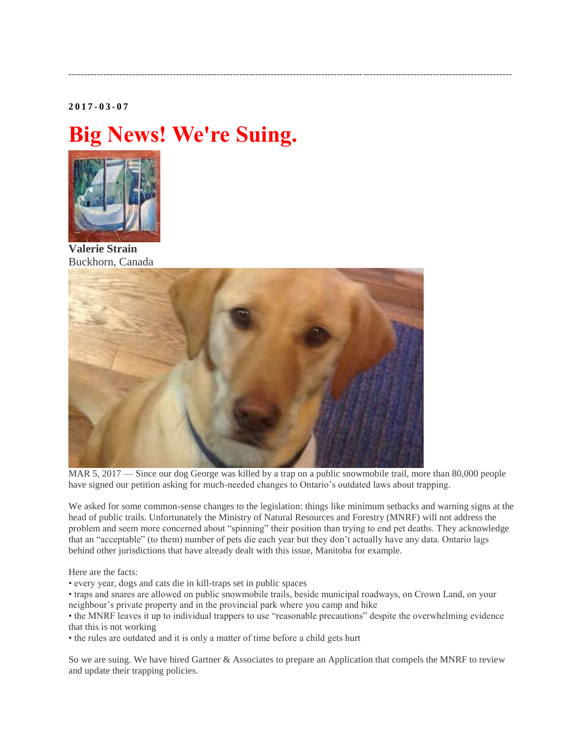#### **2 0 1 7 - 0 3 - 0 7**

## **Big News! We're Suing.**



**Valerie Strain** Buckhorn, Canada



MAR 5, 2017 — Since our dog George was killed by a trap on a public snowmobile trail, more than 80,000 people have signed our petition asking for much-needed changes to Ontario's outdated laws about trapping.

--------------------------------------------------------------------------------------------------------------------------------------------

We asked for some common-sense changes to the legislation: things like minimum setbacks and warning signs at the head of public trails. Unfortunately the Ministry of Natural Resources and Forestry (MNRF) will not address the problem and seem more concerned about "spinning" their position than trying to end pet deaths. They acknowledge that an "acceptable" (to them) number of pets die each year but they don't actually have any data. Ontario lags behind other jurisdictions that have already dealt with this issue, Manitoba for example.

Here are the facts:

• every year, dogs and cats die in kill-traps set in public spaces

• traps and snares are allowed on public snowmobile trails, beside municipal roadways, on Crown Land, on your neighbour's private property and in the provincial park where you camp and hike

• the MNRF leaves it up to individual trappers to use "reasonable precautions" despite the overwhelming evidence that this is not working

• the rules are outdated and it is only a matter of time before a child gets hurt

So we are suing. We have hired Gartner & Associates to prepare an Application that compels the MNRF to review and update their trapping policies.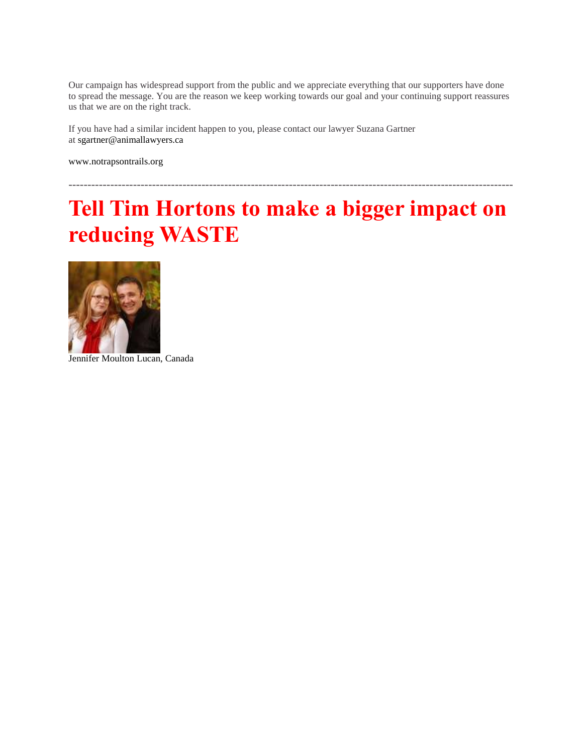Our campaign has widespread support from the public and we appreciate everything that our supporters have done to spread the message. You are the reason we keep working towards our goal and your continuing support reassures us that we are on the right track.

If you have had a similar incident happen to you, please contact our lawyer Suzana Gartner at [sgartner@animallawyers.ca](mailto:sgartner@animallawyers.ca)

[www.notrapsontrails.org](http://www.notrapsontrails.org/)

## **Tell Tim Hortons to make a bigger impact on reducing WASTE**

---------------------------------------------------------------------------------------------------------------------



[Jennifer Moulton](https://www.change.org/u/321579335) Lucan, Canada